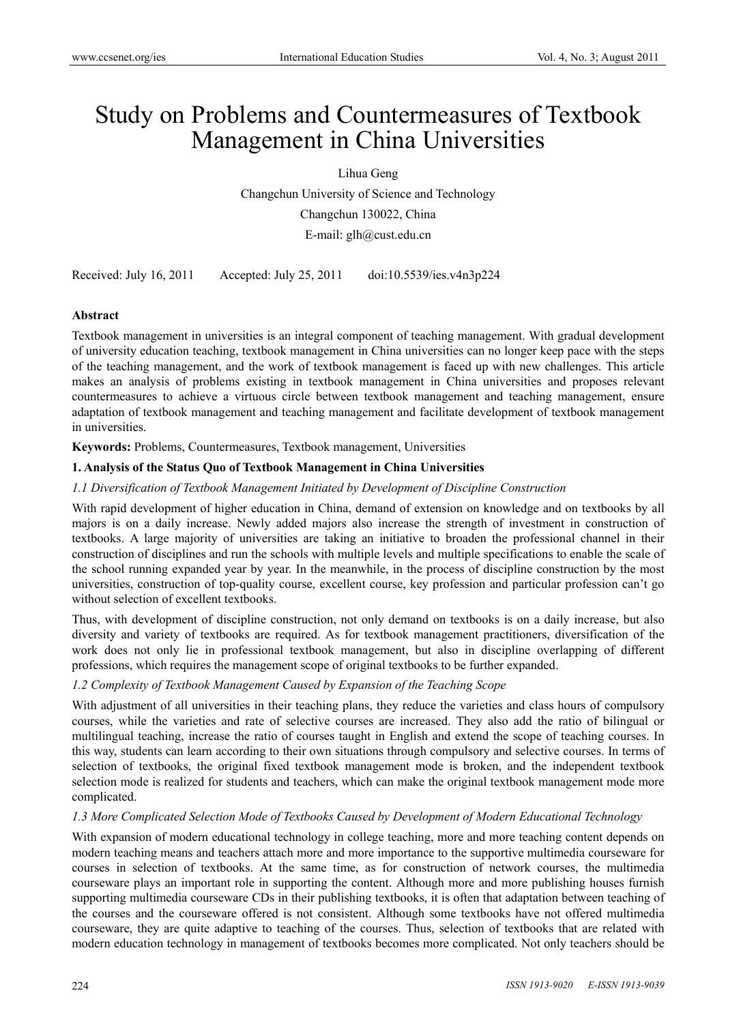# Study on Problems and Countermeasures of Textbook Management in China Universities

Lihua Geng Changchun University of Science and Technology Changchun 130022, China E-mail: glh@cust.edu.cn

Received: July 16, 2011 Accepted: July 25, 2011 doi:10.5539/ies.v4n3p224

# **Abstract**

Textbook management in universities is an integral component of teaching management. With gradual development of university education teaching, textbook management in China universities can no longer keep pace with the steps of the teaching management, and the work of textbook management is faced up with new challenges. This article makes an analysis of problems existing in textbook management in China universities and proposes relevant countermeasures to achieve a virtuous circle between textbook management and teaching management, ensure adaptation of textbook management and teaching management and facilitate development of textbook management in universities.

**Keywords:** Problems, Countermeasures, Textbook management, Universities

# **1. Analysis of the Status Quo of Textbook Management in China Universities**

## *1.1 Diversification of Textbook Management Initiated by Development of Discipline Construction*

With rapid development of higher education in China, demand of extension on knowledge and on textbooks by all majors is on a daily increase. Newly added majors also increase the strength of investment in construction of textbooks. A large majority of universities are taking an initiative to broaden the professional channel in their construction of disciplines and run the schools with multiple levels and multiple specifications to enable the scale of the school running expanded year by year. In the meanwhile, in the process of discipline construction by the most universities, construction of top-quality course, excellent course, key profession and particular profession can't go without selection of excellent textbooks.

Thus, with development of discipline construction, not only demand on textbooks is on a daily increase, but also diversity and variety of textbooks are required. As for textbook management practitioners, diversification of the work does not only lie in professional textbook management, but also in discipline overlapping of different professions, which requires the management scope of original textbooks to be further expanded.

# *1.2 Complexity of Textbook Management Caused by Expansion of the Teaching Scope*

With adjustment of all universities in their teaching plans, they reduce the varieties and class hours of compulsory courses, while the varieties and rate of selective courses are increased. They also add the ratio of bilingual or multilingual teaching, increase the ratio of courses taught in English and extend the scope of teaching courses. In this way, students can learn according to their own situations through compulsory and selective courses. In terms of selection of textbooks, the original fixed textbook management mode is broken, and the independent textbook selection mode is realized for students and teachers, which can make the original textbook management mode more complicated.

## *1.3 More Complicated Selection Mode of Textbooks Caused by Development of Modern Educational Technology*

With expansion of modern educational technology in college teaching, more and more teaching content depends on modern teaching means and teachers attach more and more importance to the supportive multimedia courseware for courses in selection of textbooks. At the same time, as for construction of network courses, the multimedia courseware plays an important role in supporting the content. Although more and more publishing houses furnish supporting multimedia courseware CDs in their publishing textbooks, it is often that adaptation between teaching of the courses and the courseware offered is not consistent. Although some textbooks have not offered multimedia courseware, they are quite adaptive to teaching of the courses. Thus, selection of textbooks that are related with modern education technology in management of textbooks becomes more complicated. Not only teachers should be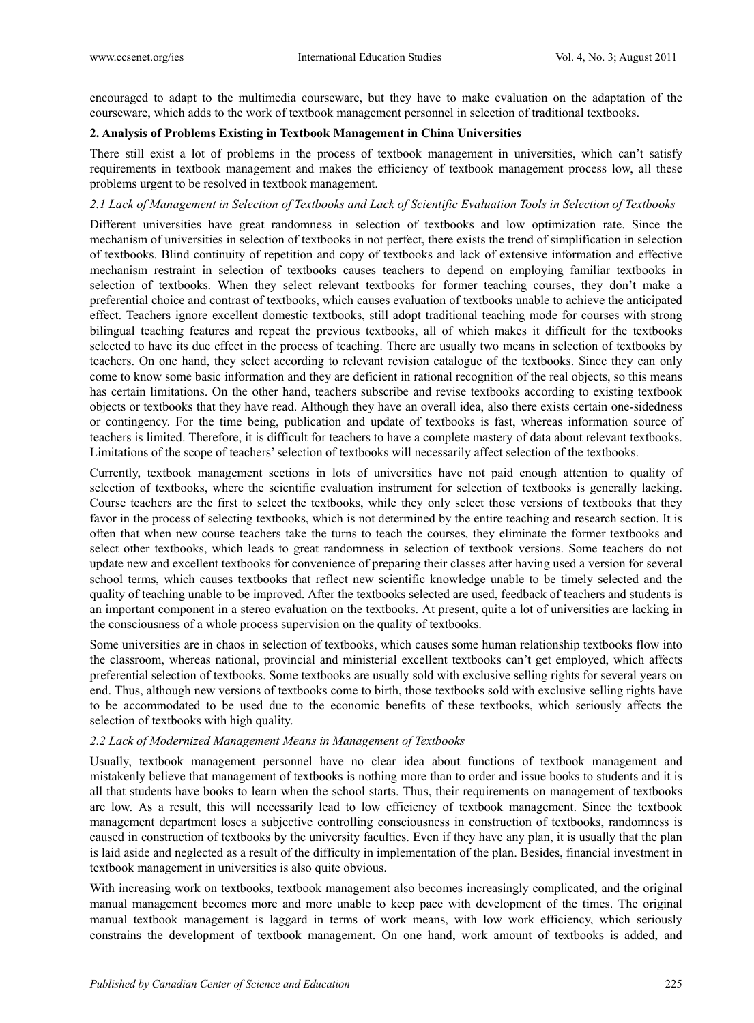encouraged to adapt to the multimedia courseware, but they have to make evaluation on the adaptation of the courseware, which adds to the work of textbook management personnel in selection of traditional textbooks.

## **2. Analysis of Problems Existing in Textbook Management in China Universities**

There still exist a lot of problems in the process of textbook management in universities, which can't satisfy requirements in textbook management and makes the efficiency of textbook management process low, all these problems urgent to be resolved in textbook management.

## *2.1 Lack of Management in Selection of Textbooks and Lack of Scientific Evaluation Tools in Selection of Textbooks*

Different universities have great randomness in selection of textbooks and low optimization rate. Since the mechanism of universities in selection of textbooks in not perfect, there exists the trend of simplification in selection of textbooks. Blind continuity of repetition and copy of textbooks and lack of extensive information and effective mechanism restraint in selection of textbooks causes teachers to depend on employing familiar textbooks in selection of textbooks. When they select relevant textbooks for former teaching courses, they don't make a preferential choice and contrast of textbooks, which causes evaluation of textbooks unable to achieve the anticipated effect. Teachers ignore excellent domestic textbooks, still adopt traditional teaching mode for courses with strong bilingual teaching features and repeat the previous textbooks, all of which makes it difficult for the textbooks selected to have its due effect in the process of teaching. There are usually two means in selection of textbooks by teachers. On one hand, they select according to relevant revision catalogue of the textbooks. Since they can only come to know some basic information and they are deficient in rational recognition of the real objects, so this means has certain limitations. On the other hand, teachers subscribe and revise textbooks according to existing textbook objects or textbooks that they have read. Although they have an overall idea, also there exists certain one-sidedness or contingency. For the time being, publication and update of textbooks is fast, whereas information source of teachers is limited. Therefore, it is difficult for teachers to have a complete mastery of data about relevant textbooks. Limitations of the scope of teachers' selection of textbooks will necessarily affect selection of the textbooks.

Currently, textbook management sections in lots of universities have not paid enough attention to quality of selection of textbooks, where the scientific evaluation instrument for selection of textbooks is generally lacking. Course teachers are the first to select the textbooks, while they only select those versions of textbooks that they favor in the process of selecting textbooks, which is not determined by the entire teaching and research section. It is often that when new course teachers take the turns to teach the courses, they eliminate the former textbooks and select other textbooks, which leads to great randomness in selection of textbook versions. Some teachers do not update new and excellent textbooks for convenience of preparing their classes after having used a version for several school terms, which causes textbooks that reflect new scientific knowledge unable to be timely selected and the quality of teaching unable to be improved. After the textbooks selected are used, feedback of teachers and students is an important component in a stereo evaluation on the textbooks. At present, quite a lot of universities are lacking in the consciousness of a whole process supervision on the quality of textbooks.

Some universities are in chaos in selection of textbooks, which causes some human relationship textbooks flow into the classroom, whereas national, provincial and ministerial excellent textbooks can't get employed, which affects preferential selection of textbooks. Some textbooks are usually sold with exclusive selling rights for several years on end. Thus, although new versions of textbooks come to birth, those textbooks sold with exclusive selling rights have to be accommodated to be used due to the economic benefits of these textbooks, which seriously affects the selection of textbooks with high quality.

## *2.2 Lack of Modernized Management Means in Management of Textbooks*

Usually, textbook management personnel have no clear idea about functions of textbook management and mistakenly believe that management of textbooks is nothing more than to order and issue books to students and it is all that students have books to learn when the school starts. Thus, their requirements on management of textbooks are low. As a result, this will necessarily lead to low efficiency of textbook management. Since the textbook management department loses a subjective controlling consciousness in construction of textbooks, randomness is caused in construction of textbooks by the university faculties. Even if they have any plan, it is usually that the plan is laid aside and neglected as a result of the difficulty in implementation of the plan. Besides, financial investment in textbook management in universities is also quite obvious.

With increasing work on textbooks, textbook management also becomes increasingly complicated, and the original manual management becomes more and more unable to keep pace with development of the times. The original manual textbook management is laggard in terms of work means, with low work efficiency, which seriously constrains the development of textbook management. On one hand, work amount of textbooks is added, and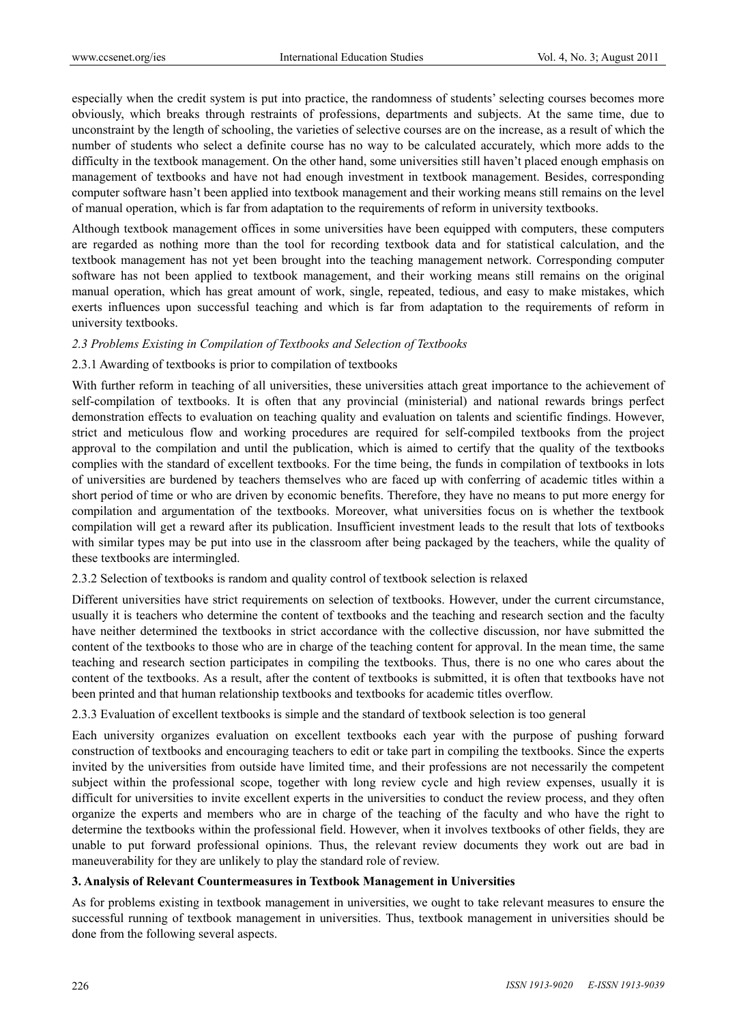especially when the credit system is put into practice, the randomness of students' selecting courses becomes more obviously, which breaks through restraints of professions, departments and subjects. At the same time, due to unconstraint by the length of schooling, the varieties of selective courses are on the increase, as a result of which the number of students who select a definite course has no way to be calculated accurately, which more adds to the difficulty in the textbook management. On the other hand, some universities still haven't placed enough emphasis on management of textbooks and have not had enough investment in textbook management. Besides, corresponding computer software hasn't been applied into textbook management and their working means still remains on the level of manual operation, which is far from adaptation to the requirements of reform in university textbooks.

Although textbook management offices in some universities have been equipped with computers, these computers are regarded as nothing more than the tool for recording textbook data and for statistical calculation, and the textbook management has not yet been brought into the teaching management network. Corresponding computer software has not been applied to textbook management, and their working means still remains on the original manual operation, which has great amount of work, single, repeated, tedious, and easy to make mistakes, which exerts influences upon successful teaching and which is far from adaptation to the requirements of reform in university textbooks.

## *2.3 Problems Existing in Compilation of Textbooks and Selection of Textbooks*

#### 2.3.1 Awarding of textbooks is prior to compilation of textbooks

With further reform in teaching of all universities, these universities attach great importance to the achievement of self-compilation of textbooks. It is often that any provincial (ministerial) and national rewards brings perfect demonstration effects to evaluation on teaching quality and evaluation on talents and scientific findings. However, strict and meticulous flow and working procedures are required for self-compiled textbooks from the project approval to the compilation and until the publication, which is aimed to certify that the quality of the textbooks complies with the standard of excellent textbooks. For the time being, the funds in compilation of textbooks in lots of universities are burdened by teachers themselves who are faced up with conferring of academic titles within a short period of time or who are driven by economic benefits. Therefore, they have no means to put more energy for compilation and argumentation of the textbooks. Moreover, what universities focus on is whether the textbook compilation will get a reward after its publication. Insufficient investment leads to the result that lots of textbooks with similar types may be put into use in the classroom after being packaged by the teachers, while the quality of these textbooks are intermingled.

## 2.3.2 Selection of textbooks is random and quality control of textbook selection is relaxed

Different universities have strict requirements on selection of textbooks. However, under the current circumstance, usually it is teachers who determine the content of textbooks and the teaching and research section and the faculty have neither determined the textbooks in strict accordance with the collective discussion, nor have submitted the content of the textbooks to those who are in charge of the teaching content for approval. In the mean time, the same teaching and research section participates in compiling the textbooks. Thus, there is no one who cares about the content of the textbooks. As a result, after the content of textbooks is submitted, it is often that textbooks have not been printed and that human relationship textbooks and textbooks for academic titles overflow.

2.3.3 Evaluation of excellent textbooks is simple and the standard of textbook selection is too general

Each university organizes evaluation on excellent textbooks each year with the purpose of pushing forward construction of textbooks and encouraging teachers to edit or take part in compiling the textbooks. Since the experts invited by the universities from outside have limited time, and their professions are not necessarily the competent subject within the professional scope, together with long review cycle and high review expenses, usually it is difficult for universities to invite excellent experts in the universities to conduct the review process, and they often organize the experts and members who are in charge of the teaching of the faculty and who have the right to determine the textbooks within the professional field. However, when it involves textbooks of other fields, they are unable to put forward professional opinions. Thus, the relevant review documents they work out are bad in maneuverability for they are unlikely to play the standard role of review.

#### **3. Analysis of Relevant Countermeasures in Textbook Management in Universities**

As for problems existing in textbook management in universities, we ought to take relevant measures to ensure the successful running of textbook management in universities. Thus, textbook management in universities should be done from the following several aspects.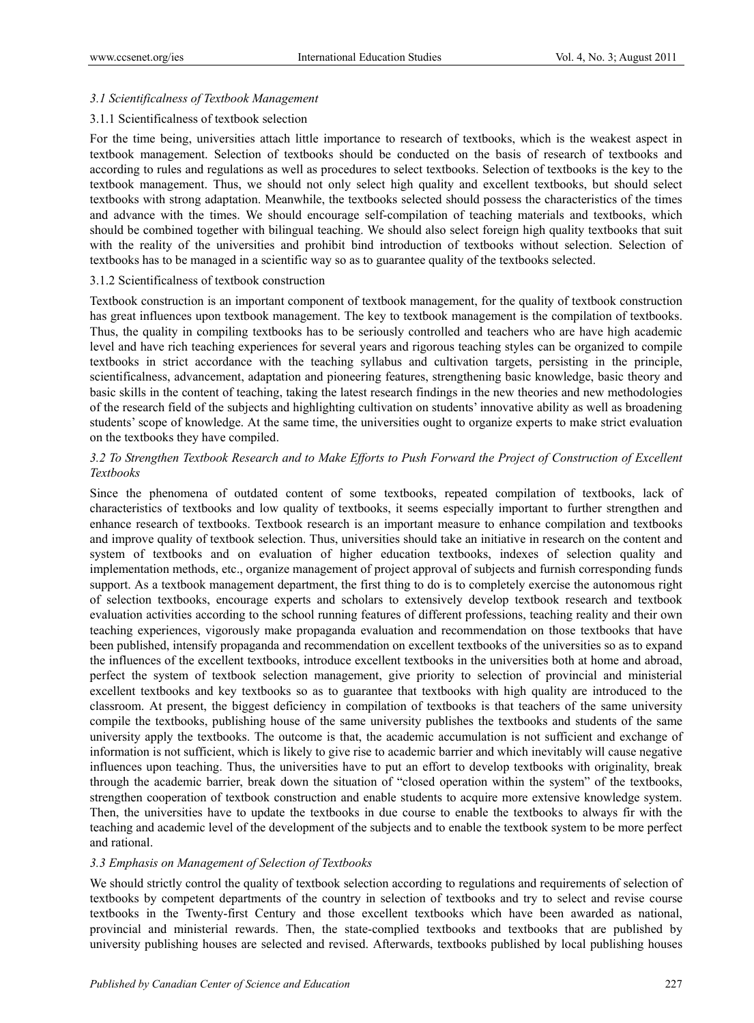## *3.1 Scientificalness of Textbook Management*

## 3.1.1 Scientificalness of textbook selection

For the time being, universities attach little importance to research of textbooks, which is the weakest aspect in textbook management. Selection of textbooks should be conducted on the basis of research of textbooks and according to rules and regulations as well as procedures to select textbooks. Selection of textbooks is the key to the textbook management. Thus, we should not only select high quality and excellent textbooks, but should select textbooks with strong adaptation. Meanwhile, the textbooks selected should possess the characteristics of the times and advance with the times. We should encourage self-compilation of teaching materials and textbooks, which should be combined together with bilingual teaching. We should also select foreign high quality textbooks that suit with the reality of the universities and prohibit bind introduction of textbooks without selection. Selection of textbooks has to be managed in a scientific way so as to guarantee quality of the textbooks selected.

## 3.1.2 Scientificalness of textbook construction

Textbook construction is an important component of textbook management, for the quality of textbook construction has great influences upon textbook management. The key to textbook management is the compilation of textbooks. Thus, the quality in compiling textbooks has to be seriously controlled and teachers who are have high academic level and have rich teaching experiences for several years and rigorous teaching styles can be organized to compile textbooks in strict accordance with the teaching syllabus and cultivation targets, persisting in the principle, scientificalness, advancement, adaptation and pioneering features, strengthening basic knowledge, basic theory and basic skills in the content of teaching, taking the latest research findings in the new theories and new methodologies of the research field of the subjects and highlighting cultivation on students' innovative ability as well as broadening students' scope of knowledge. At the same time, the universities ought to organize experts to make strict evaluation on the textbooks they have compiled.

## *3.2 To Strengthen Textbook Research and to Make Efforts to Push Forward the Project of Construction of Excellent Textbooks*

Since the phenomena of outdated content of some textbooks, repeated compilation of textbooks, lack of characteristics of textbooks and low quality of textbooks, it seems especially important to further strengthen and enhance research of textbooks. Textbook research is an important measure to enhance compilation and textbooks and improve quality of textbook selection. Thus, universities should take an initiative in research on the content and system of textbooks and on evaluation of higher education textbooks, indexes of selection quality and implementation methods, etc., organize management of project approval of subjects and furnish corresponding funds support. As a textbook management department, the first thing to do is to completely exercise the autonomous right of selection textbooks, encourage experts and scholars to extensively develop textbook research and textbook evaluation activities according to the school running features of different professions, teaching reality and their own teaching experiences, vigorously make propaganda evaluation and recommendation on those textbooks that have been published, intensify propaganda and recommendation on excellent textbooks of the universities so as to expand the influences of the excellent textbooks, introduce excellent textbooks in the universities both at home and abroad, perfect the system of textbook selection management, give priority to selection of provincial and ministerial excellent textbooks and key textbooks so as to guarantee that textbooks with high quality are introduced to the classroom. At present, the biggest deficiency in compilation of textbooks is that teachers of the same university compile the textbooks, publishing house of the same university publishes the textbooks and students of the same university apply the textbooks. The outcome is that, the academic accumulation is not sufficient and exchange of information is not sufficient, which is likely to give rise to academic barrier and which inevitably will cause negative influences upon teaching. Thus, the universities have to put an effort to develop textbooks with originality, break through the academic barrier, break down the situation of "closed operation within the system" of the textbooks, strengthen cooperation of textbook construction and enable students to acquire more extensive knowledge system. Then, the universities have to update the textbooks in due course to enable the textbooks to always fir with the teaching and academic level of the development of the subjects and to enable the textbook system to be more perfect and rational.

# *3.3 Emphasis on Management of Selection of Textbooks*

We should strictly control the quality of textbook selection according to regulations and requirements of selection of textbooks by competent departments of the country in selection of textbooks and try to select and revise course textbooks in the Twenty-first Century and those excellent textbooks which have been awarded as national, provincial and ministerial rewards. Then, the state-complied textbooks and textbooks that are published by university publishing houses are selected and revised. Afterwards, textbooks published by local publishing houses